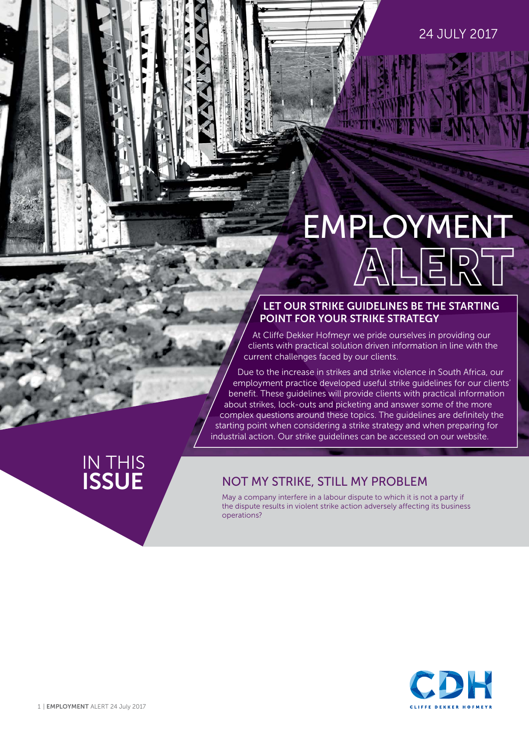#### 24 JULY 2017

# EMPLOYMENT<br>ALERT

#### **LET OUR STRIKE GUIDELINES BE THE STARTING POINT FOR YOUR STRIKE STRATEGY**

At Cliffe Dekker Hofmeyr we pride ourselves in providing our clients with practical solution driven information in line with the current challenges faced by our clients.

Due to the increase in strikes and strike violence in South Africa, our employment practice developed useful strike guidelines for our clients' benefit. These guidelines will provide clients with practical information about strikes, lock-outs and picketing and answer some of the more complex questions around these topics. The guidelines are definitely the starting point when considering a strike strategy and when preparing for industrial action. [Our strike g](https://www.cliffedekkerhofmeyr.com/export/sites/cdh/en/practice-areas/downloads/Employment-Strike-Guideline.pdf)uidelines can be accessed on our website.

# IN THIS<br>**ISSUE**

#### **NOT MY STRIKE, STILL MY PROBLEM**

May a company interfere in a labour dispute to which it is not a party if the dispute results in violent strike action adversely affecting its business operations?

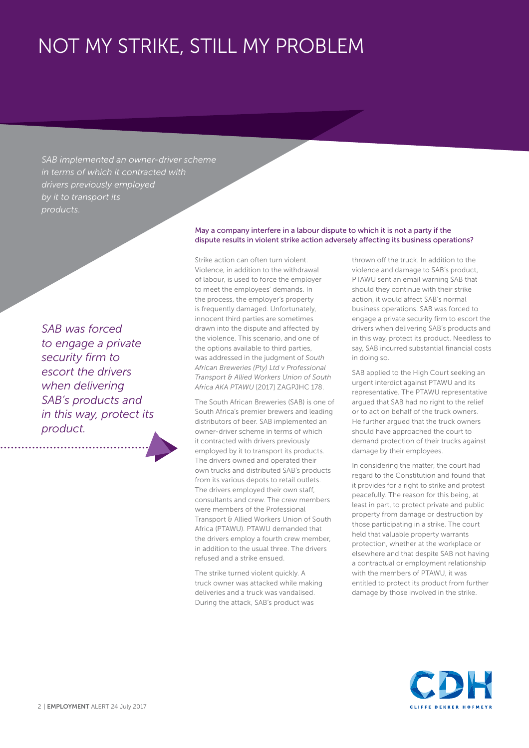## NOT MY STRIKE, STILL MY PROBLEM

*SAB implemented an owner-driver scheme in terms of which it contracted with drivers previously employed by it to transport its products.* 

*SAB was forced to engage a private security firm to escort the drivers when delivering SAB's products and in this way, protect its product.*

#### May a company interfere in a labour dispute to which it is not a party if the dispute results in violent strike action adversely affecting its business operations?

Strike action can often turn violent. Violence, in addition to the withdrawal of labour, is used to force the employer to meet the employees' demands. In the process, the employer's property is frequently damaged. Unfortunately, innocent third parties are sometimes drawn into the dispute and affected by the violence. This scenario, and one of the options available to third parties, was addressed in the judgment of *South African Breweries (Pty) Ltd v Professional Transport & Allied Workers Union of South Africa AKA PTAWU* [2017] ZAGPJHC 178.

The South African Breweries (SAB) is one of South Africa's premier brewers and leading distributors of beer. SAB implemented an owner-driver scheme in terms of which it contracted with drivers previously employed by it to transport its products. The drivers owned and operated their own trucks and distributed SAB's products from its various depots to retail outlets. The drivers employed their own staff, consultants and crew. The crew members were members of the Professional Transport & Allied Workers Union of South Africa (PTAWU). PTAWU demanded that the drivers employ a fourth crew member, in addition to the usual three. The drivers refused and a strike ensued.

The strike turned violent quickly. A truck owner was attacked while making deliveries and a truck was vandalised. During the attack, SAB's product was

thrown off the truck. In addition to the violence and damage to SAB's product, PTAWU sent an email warning SAB that should they continue with their strike action, it would affect SAB's normal business operations. SAB was forced to engage a private security firm to escort the drivers when delivering SAB's products and in this way, protect its product. Needless to say, SAB incurred substantial financial costs in doing so.

SAB applied to the High Court seeking an urgent interdict against PTAWU and its representative. The PTAWU representative argued that SAB had no right to the relief or to act on behalf of the truck owners. He further argued that the truck owners should have approached the court to demand protection of their trucks against damage by their employees.

In considering the matter, the court had regard to the Constitution and found that it provides for a right to strike and protest peacefully. The reason for this being, at least in part, to protect private and public property from damage or destruction by those participating in a strike. The court held that valuable property warrants protection, whether at the workplace or elsewhere and that despite SAB not having a contractual or employment relationship with the members of PTAWU, it was entitled to protect its product from further damage by those involved in the strike.

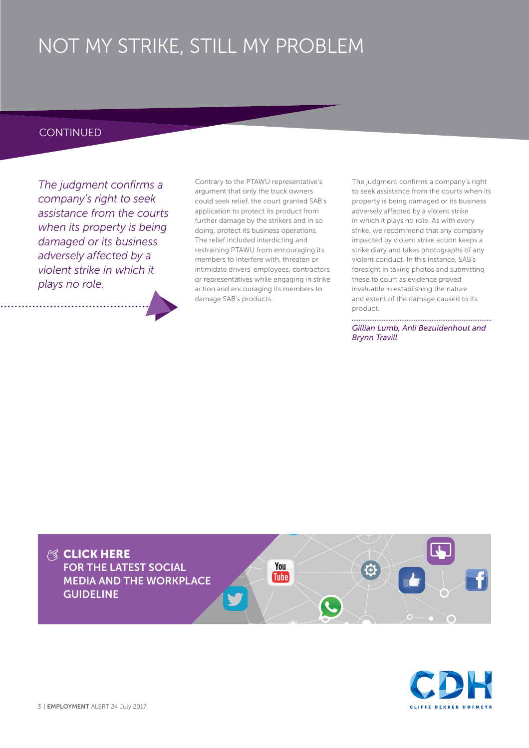## NOT MY STRIKE, STILL MY PROBLEM

#### **CONTINUED**

*The judgment confirms a company's right to seek assistance from the courts when its property is being damaged or its business adversely affected by a violent strike in which it plays no role.* 

Contrary to the PTAWU representative's argument that only the truck owners could seek relief, the court granted SAB's application to protect its product from further damage by the strikers and in so doing, protect its business operations. The relief included interdicting and restraining PTAWU from encouraging its members to interfere with, threaten or intimidate drivers' employees, contractors or representatives while engaging in strike action and encouraging its members to damage SAB's products.

The judgment confirms a company's right to seek assistance from the courts when its property is being damaged or its business adversely affected by a violent strike in which it plays no role. As with every strike, we recommend that any company impacted by violent strike action keeps a strike diary and takes photographs of any violent conduct. In this instance, SAB's foresight in taking photos and submitting these to court as evidence proved invaluable in establishing the nature and extent of the damage caused to its product.

*Gillian Lumb, Anli Bezuidenhout and Brynn Travill*



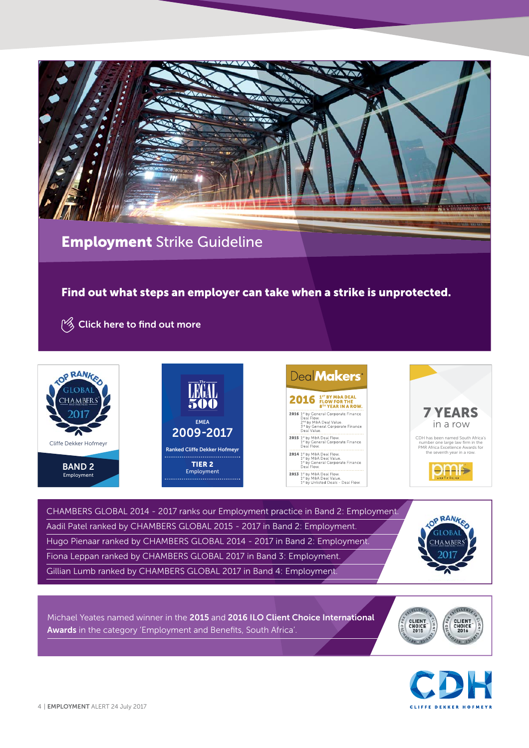

#### **Employment** Strike Guideline

#### **Find out what steps an employer can take when a strike is unprotected.**

**P**<sup> $\frac{1}{2}$  [Click here t](https://www.cliffedekkerhofmeyr.com/export/sites/cdh/en/practice-areas/downloads/Employment-Strike-Guideline.pdf)o find out more</sup>









CHAMBERS GLOBAL 2014 - 2017 ranks our Employment practice in Band 2: Employment. Aadil Patel ranked by CHAMBERS GLOBAL 2015 - 2017 in Band 2: Employment. Hugo Pienaar ranked by CHAMBERS GLOBAL 2014 - 2017 in Band 2: Employment. Fiona Leppan ranked by CHAMBERS GLOBAL 2017 in Band 3: Employment. Gillian Lumb ranked by CHAMBERS GLOBAL 2017 in Band 4: Employment.



Michael Yeates named winner in the **2015** and **2016 ILO Client Choice International**  Awards in the category 'Employment and Benefits, South Africa'